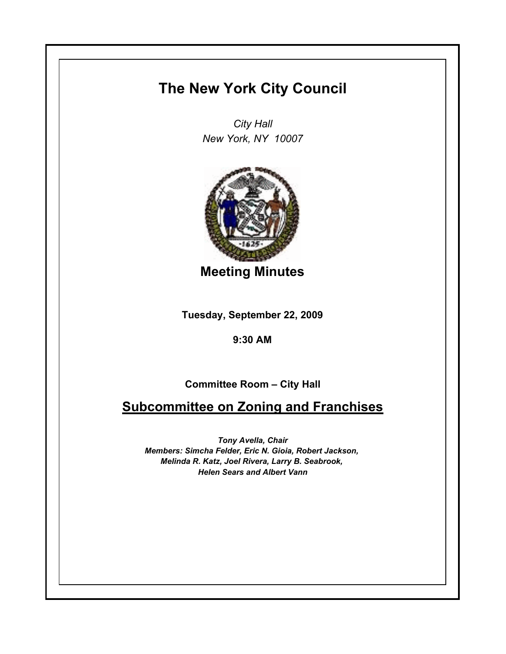## **The New York City Council**

*City Hall New York, NY 10007*



**Meeting Minutes**

**Tuesday, September 22, 2009**

**9:30 AM**

**Committee Room – City Hall**

**Subcommittee on Zoning and Franchises**

*Tony Avella, Chair Members: Simcha Felder, Eric N. Gioia, Robert Jackson, Melinda R. Katz, Joel Rivera, Larry B. Seabrook, Helen Sears and Albert Vann*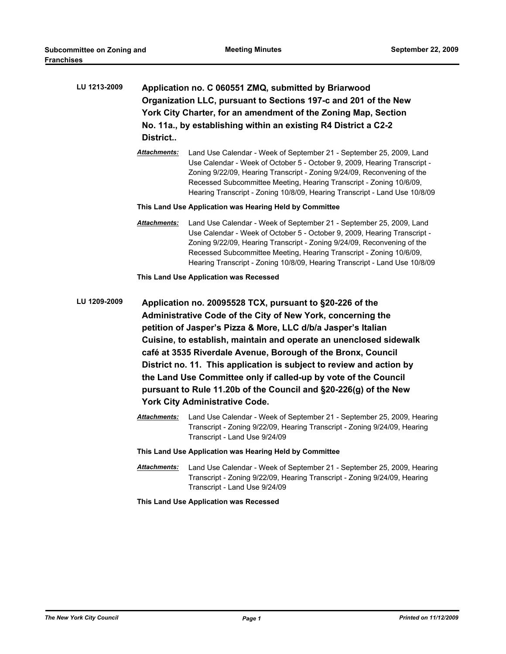| LU 1213-2009 | Application no. C 060551 ZMQ, submitted by Briarwood<br>Organization LLC, pursuant to Sections 197-c and 201 of the New<br>York City Charter, for an amendment of the Zoning Map, Section<br>No. 11a., by establishing within an existing R4 District a C2-2<br>District                                                                                                                                                                                                                                                                                                               |                                                                                                                                                                                                                                                                                                                                                                                 |  |
|--------------|----------------------------------------------------------------------------------------------------------------------------------------------------------------------------------------------------------------------------------------------------------------------------------------------------------------------------------------------------------------------------------------------------------------------------------------------------------------------------------------------------------------------------------------------------------------------------------------|---------------------------------------------------------------------------------------------------------------------------------------------------------------------------------------------------------------------------------------------------------------------------------------------------------------------------------------------------------------------------------|--|
|              | Attachments:                                                                                                                                                                                                                                                                                                                                                                                                                                                                                                                                                                           | Land Use Calendar - Week of September 21 - September 25, 2009, Land<br>Use Calendar - Week of October 5 - October 9, 2009, Hearing Transcript -<br>Zoning 9/22/09, Hearing Transcript - Zoning 9/24/09, Reconvening of the<br>Recessed Subcommittee Meeting, Hearing Transcript - Zoning 10/6/09,<br>Hearing Transcript - Zoning 10/8/09, Hearing Transcript - Land Use 10/8/09 |  |
|              | This Land Use Application was Hearing Held by Committee                                                                                                                                                                                                                                                                                                                                                                                                                                                                                                                                |                                                                                                                                                                                                                                                                                                                                                                                 |  |
|              | <b>Attachments:</b>                                                                                                                                                                                                                                                                                                                                                                                                                                                                                                                                                                    | Land Use Calendar - Week of September 21 - September 25, 2009, Land<br>Use Calendar - Week of October 5 - October 9, 2009, Hearing Transcript -<br>Zoning 9/22/09, Hearing Transcript - Zoning 9/24/09, Reconvening of the<br>Recessed Subcommittee Meeting, Hearing Transcript - Zoning 10/6/09,<br>Hearing Transcript - Zoning 10/8/09, Hearing Transcript - Land Use 10/8/09 |  |
|              |                                                                                                                                                                                                                                                                                                                                                                                                                                                                                                                                                                                        | This Land Use Application was Recessed                                                                                                                                                                                                                                                                                                                                          |  |
| LU 1209-2009 | Application no. 20095528 TCX, pursuant to §20-226 of the<br>Administrative Code of the City of New York, concerning the<br>petition of Jasper's Pizza & More, LLC d/b/a Jasper's Italian<br>Cuisine, to establish, maintain and operate an unenclosed sidewalk<br>café at 3535 Riverdale Avenue, Borough of the Bronx, Council<br>District no. 11. This application is subject to review and action by<br>the Land Use Committee only if called-up by vote of the Council<br>pursuant to Rule 11.20b of the Council and §20-226(g) of the New<br><b>York City Administrative Code.</b> |                                                                                                                                                                                                                                                                                                                                                                                 |  |
|              | Attachments:                                                                                                                                                                                                                                                                                                                                                                                                                                                                                                                                                                           | Land Use Calendar - Week of September 21 - September 25, 2009, Hearing<br>Transcript - Zoning 9/22/09, Hearing Transcript - Zoning 9/24/09, Hearing<br>Transcript - Land Use 9/24/09                                                                                                                                                                                            |  |
|              | This Land Use Application was Hearing Held by Committee                                                                                                                                                                                                                                                                                                                                                                                                                                                                                                                                |                                                                                                                                                                                                                                                                                                                                                                                 |  |
|              | Attachments:                                                                                                                                                                                                                                                                                                                                                                                                                                                                                                                                                                           | Land Use Calendar - Week of September 21 - September 25, 2009, Hearing<br>Transcript - Zoning 9/22/09, Hearing Transcript - Zoning 9/24/09, Hearing<br>Transcript - Land Use 9/24/09                                                                                                                                                                                            |  |
|              |                                                                                                                                                                                                                                                                                                                                                                                                                                                                                                                                                                                        | This Land Use Application was Recessed                                                                                                                                                                                                                                                                                                                                          |  |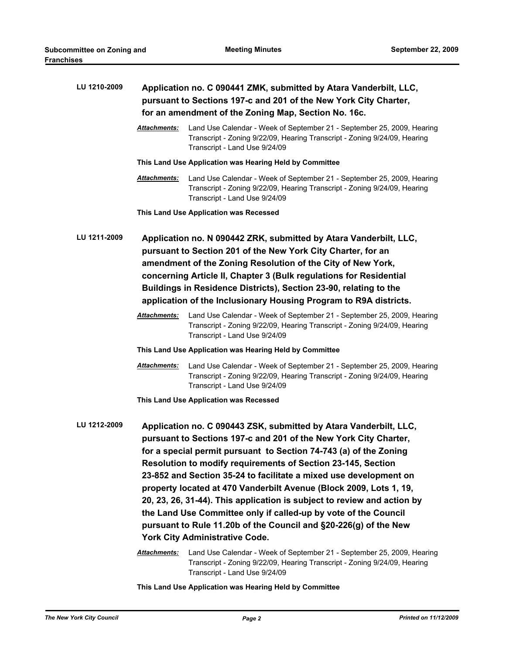| LU 1210-2009 | Application no. C 090441 ZMK, submitted by Atara Vanderbilt, LLC,<br>pursuant to Sections 197-c and 201 of the New York City Charter,<br>for an amendment of the Zoning Map, Section No. 16c.                                                                                                                                                                                                                                                                                                                                                                                                                                                                                                                                                                                     |                                                                                                                                                                                                                                                                                                                                                                                                                  |  |
|--------------|-----------------------------------------------------------------------------------------------------------------------------------------------------------------------------------------------------------------------------------------------------------------------------------------------------------------------------------------------------------------------------------------------------------------------------------------------------------------------------------------------------------------------------------------------------------------------------------------------------------------------------------------------------------------------------------------------------------------------------------------------------------------------------------|------------------------------------------------------------------------------------------------------------------------------------------------------------------------------------------------------------------------------------------------------------------------------------------------------------------------------------------------------------------------------------------------------------------|--|
|              | Attachments:                                                                                                                                                                                                                                                                                                                                                                                                                                                                                                                                                                                                                                                                                                                                                                      | Land Use Calendar - Week of September 21 - September 25, 2009, Hearing<br>Transcript - Zoning 9/22/09, Hearing Transcript - Zoning 9/24/09, Hearing<br>Transcript - Land Use 9/24/09                                                                                                                                                                                                                             |  |
|              | This Land Use Application was Hearing Held by Committee                                                                                                                                                                                                                                                                                                                                                                                                                                                                                                                                                                                                                                                                                                                           |                                                                                                                                                                                                                                                                                                                                                                                                                  |  |
|              | <b>Attachments:</b>                                                                                                                                                                                                                                                                                                                                                                                                                                                                                                                                                                                                                                                                                                                                                               | Land Use Calendar - Week of September 21 - September 25, 2009, Hearing<br>Transcript - Zoning 9/22/09, Hearing Transcript - Zoning 9/24/09, Hearing<br>Transcript - Land Use 9/24/09                                                                                                                                                                                                                             |  |
|              |                                                                                                                                                                                                                                                                                                                                                                                                                                                                                                                                                                                                                                                                                                                                                                                   | This Land Use Application was Recessed                                                                                                                                                                                                                                                                                                                                                                           |  |
| LU 1211-2009 |                                                                                                                                                                                                                                                                                                                                                                                                                                                                                                                                                                                                                                                                                                                                                                                   | Application no. N 090442 ZRK, submitted by Atara Vanderbilt, LLC,<br>pursuant to Section 201 of the New York City Charter, for an<br>amendment of the Zoning Resolution of the City of New York,<br>concerning Article II, Chapter 3 (Bulk regulations for Residential<br>Buildings in Residence Districts), Section 23-90, relating to the<br>application of the Inclusionary Housing Program to R9A districts. |  |
|              | <u> Attachments:</u>                                                                                                                                                                                                                                                                                                                                                                                                                                                                                                                                                                                                                                                                                                                                                              | Land Use Calendar - Week of September 21 - September 25, 2009, Hearing<br>Transcript - Zoning 9/22/09, Hearing Transcript - Zoning 9/24/09, Hearing<br>Transcript - Land Use 9/24/09                                                                                                                                                                                                                             |  |
|              |                                                                                                                                                                                                                                                                                                                                                                                                                                                                                                                                                                                                                                                                                                                                                                                   | This Land Use Application was Hearing Held by Committee                                                                                                                                                                                                                                                                                                                                                          |  |
|              | Attachments:                                                                                                                                                                                                                                                                                                                                                                                                                                                                                                                                                                                                                                                                                                                                                                      | Land Use Calendar - Week of September 21 - September 25, 2009, Hearing<br>Transcript - Zoning 9/22/09, Hearing Transcript - Zoning 9/24/09, Hearing<br>Transcript - Land Use 9/24/09                                                                                                                                                                                                                             |  |
|              |                                                                                                                                                                                                                                                                                                                                                                                                                                                                                                                                                                                                                                                                                                                                                                                   | This Land Use Application was Recessed                                                                                                                                                                                                                                                                                                                                                                           |  |
| LU 1212-2009 | Application no. C 090443 ZSK, submitted by Atara Vanderbilt, LLC,<br>pursuant to Sections 197-c and 201 of the New York City Charter,<br>for a special permit pursuant to Section 74-743 (a) of the Zoning<br><b>Resolution to modify requirements of Section 23-145, Section</b><br>23-852 and Section 35-24 to facilitate a mixed use development on<br>property located at 470 Vanderbilt Avenue (Block 2009, Lots 1, 19,<br>20, 23, 26, 31-44). This application is subject to review and action by<br>the Land Use Committee only if called-up by vote of the Council<br>pursuant to Rule 11.20b of the Council and §20-226(g) of the New<br>York City Administrative Code.<br><b>Attachments:</b><br>Land Use Calendar - Week of September 21 - September 25, 2009, Hearing |                                                                                                                                                                                                                                                                                                                                                                                                                  |  |
|              |                                                                                                                                                                                                                                                                                                                                                                                                                                                                                                                                                                                                                                                                                                                                                                                   | Transcript - Zoning 9/22/09, Hearing Transcript - Zoning 9/24/09, Hearing<br>Transcript - Land Use 9/24/09                                                                                                                                                                                                                                                                                                       |  |

**This Land Use Application was Hearing Held by Committee**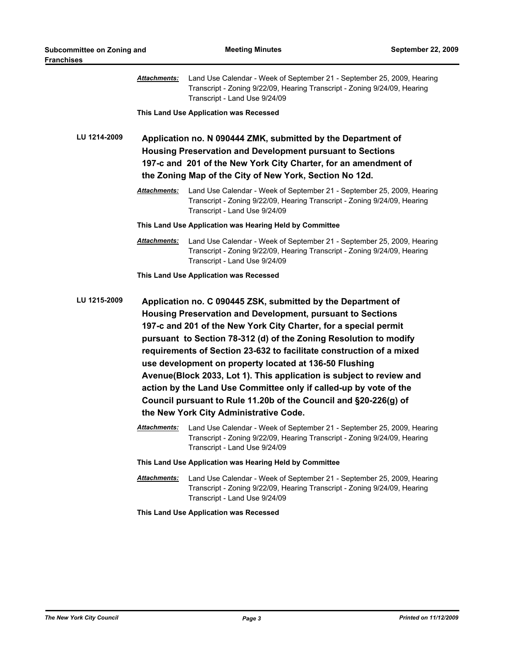|              | <b>Attachments:</b>                                                                                                                                                                                                                                                                                                                                                                                                                                                                                                                                                                                                                                                     | Land Use Calendar - Week of September 21 - September 25, 2009, Hearing<br>Transcript - Zoning 9/22/09, Hearing Transcript - Zoning 9/24/09, Hearing<br>Transcript - Land Use 9/24/09                                                                           |  |
|--------------|-------------------------------------------------------------------------------------------------------------------------------------------------------------------------------------------------------------------------------------------------------------------------------------------------------------------------------------------------------------------------------------------------------------------------------------------------------------------------------------------------------------------------------------------------------------------------------------------------------------------------------------------------------------------------|----------------------------------------------------------------------------------------------------------------------------------------------------------------------------------------------------------------------------------------------------------------|--|
|              |                                                                                                                                                                                                                                                                                                                                                                                                                                                                                                                                                                                                                                                                         | This Land Use Application was Recessed                                                                                                                                                                                                                         |  |
| LU 1214-2009 |                                                                                                                                                                                                                                                                                                                                                                                                                                                                                                                                                                                                                                                                         | Application no. N 090444 ZMK, submitted by the Department of<br><b>Housing Preservation and Development pursuant to Sections</b><br>197-c and 201 of the New York City Charter, for an amendment of<br>the Zoning Map of the City of New York, Section No 12d. |  |
|              | <u> Attachments:</u>                                                                                                                                                                                                                                                                                                                                                                                                                                                                                                                                                                                                                                                    | Land Use Calendar - Week of September 21 - September 25, 2009, Hearing<br>Transcript - Zoning 9/22/09, Hearing Transcript - Zoning 9/24/09, Hearing<br>Transcript - Land Use 9/24/09                                                                           |  |
|              | This Land Use Application was Hearing Held by Committee                                                                                                                                                                                                                                                                                                                                                                                                                                                                                                                                                                                                                 |                                                                                                                                                                                                                                                                |  |
|              | Attachments:                                                                                                                                                                                                                                                                                                                                                                                                                                                                                                                                                                                                                                                            | Land Use Calendar - Week of September 21 - September 25, 2009, Hearing<br>Transcript - Zoning 9/22/09, Hearing Transcript - Zoning 9/24/09, Hearing<br>Transcript - Land Use 9/24/09                                                                           |  |
|              |                                                                                                                                                                                                                                                                                                                                                                                                                                                                                                                                                                                                                                                                         | This Land Use Application was Recessed                                                                                                                                                                                                                         |  |
| LU 1215-2009 | Application no. C 090445 ZSK, submitted by the Department of<br><b>Housing Preservation and Development, pursuant to Sections</b><br>197-c and 201 of the New York City Charter, for a special permit<br>pursuant to Section 78-312 (d) of the Zoning Resolution to modify<br>requirements of Section 23-632 to facilitate construction of a mixed<br>use development on property located at 136-50 Flushing<br>Avenue(Block 2033, Lot 1). This application is subject to review and<br>action by the Land Use Committee only if called-up by vote of the<br>Council pursuant to Rule 11.20b of the Council and §20-226(g) of<br>the New York City Administrative Code. |                                                                                                                                                                                                                                                                |  |
|              | Attachments:                                                                                                                                                                                                                                                                                                                                                                                                                                                                                                                                                                                                                                                            | Land Use Calendar - Week of September 21 - September 25, 2009, Hearing<br>Transcript - Zoning 9/22/09, Hearing Transcript - Zoning 9/24/09, Hearing<br>Transcript - Land Use 9/24/09                                                                           |  |
|              | This Land Use Application was Hearing Held by Committee                                                                                                                                                                                                                                                                                                                                                                                                                                                                                                                                                                                                                 |                                                                                                                                                                                                                                                                |  |
|              | Attachments:                                                                                                                                                                                                                                                                                                                                                                                                                                                                                                                                                                                                                                                            | Land Use Calendar - Week of September 21 - September 25, 2009, Hearing<br>Transcript - Zoning 9/22/09, Hearing Transcript - Zoning 9/24/09, Hearing<br>Transcript - Land Use 9/24/09                                                                           |  |
|              |                                                                                                                                                                                                                                                                                                                                                                                                                                                                                                                                                                                                                                                                         | This Land Use Application was Recessed                                                                                                                                                                                                                         |  |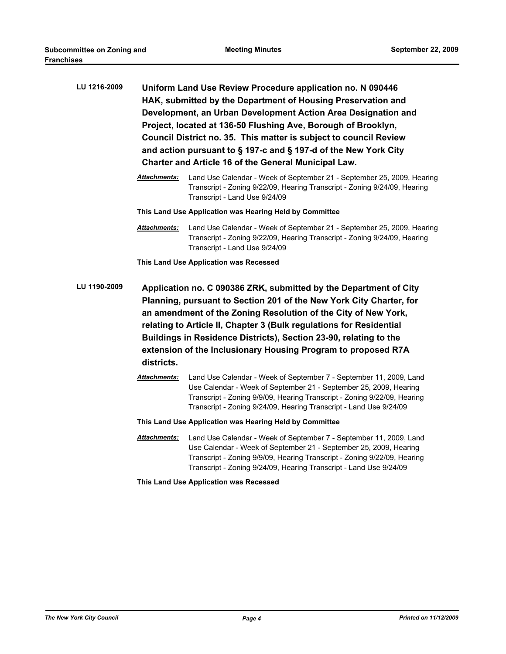| LU 1216-2009 | Uniform Land Use Review Procedure application no. N 090446<br>HAK, submitted by the Department of Housing Preservation and<br>Development, an Urban Development Action Area Designation and<br>Project, located at 136-50 Flushing Ave, Borough of Brooklyn,<br>Council District no. 35. This matter is subject to council Review<br>and action pursuant to § 197-c and § 197-d of the New York City<br>Charter and Article 16 of the General Municipal Law. |                                                                                                                                                                                                                                                                                           |  |
|--------------|--------------------------------------------------------------------------------------------------------------------------------------------------------------------------------------------------------------------------------------------------------------------------------------------------------------------------------------------------------------------------------------------------------------------------------------------------------------|-------------------------------------------------------------------------------------------------------------------------------------------------------------------------------------------------------------------------------------------------------------------------------------------|--|
|              | <b>Attachments:</b>                                                                                                                                                                                                                                                                                                                                                                                                                                          | Land Use Calendar - Week of September 21 - September 25, 2009, Hearing<br>Transcript - Zoning 9/22/09, Hearing Transcript - Zoning 9/24/09, Hearing<br>Transcript - Land Use 9/24/09                                                                                                      |  |
|              | This Land Use Application was Hearing Held by Committee                                                                                                                                                                                                                                                                                                                                                                                                      |                                                                                                                                                                                                                                                                                           |  |
|              | <u>Attachments:</u>                                                                                                                                                                                                                                                                                                                                                                                                                                          | Land Use Calendar - Week of September 21 - September 25, 2009, Hearing<br>Transcript - Zoning 9/22/09, Hearing Transcript - Zoning 9/24/09, Hearing<br>Transcript - Land Use 9/24/09                                                                                                      |  |
|              |                                                                                                                                                                                                                                                                                                                                                                                                                                                              | This Land Use Application was Recessed                                                                                                                                                                                                                                                    |  |
| LU 1190-2009 | Application no. C 090386 ZRK, submitted by the Department of City<br>Planning, pursuant to Section 201 of the New York City Charter, for<br>an amendment of the Zoning Resolution of the City of New York,<br>relating to Article II, Chapter 3 (Bulk regulations for Residential<br>Buildings in Residence Districts), Section 23-90, relating to the<br>extension of the Inclusionary Housing Program to proposed R7A<br>districts.                        |                                                                                                                                                                                                                                                                                           |  |
|              | <b>Attachments:</b>                                                                                                                                                                                                                                                                                                                                                                                                                                          | Land Use Calendar - Week of September 7 - September 11, 2009, Land<br>Use Calendar - Week of September 21 - September 25, 2009, Hearing<br>Transcript - Zoning 9/9/09, Hearing Transcript - Zoning 9/22/09, Hearing<br>Transcript - Zoning 9/24/09, Hearing Transcript - Land Use 9/24/09 |  |
|              | This Land Use Application was Hearing Held by Committee                                                                                                                                                                                                                                                                                                                                                                                                      |                                                                                                                                                                                                                                                                                           |  |
|              | <b>Attachments:</b>                                                                                                                                                                                                                                                                                                                                                                                                                                          | Land Use Calendar - Week of September 7 - September 11, 2009, Land<br>Use Calendar - Week of September 21 - September 25, 2009, Hearing<br>Transcript - Zoning 9/9/09, Hearing Transcript - Zoning 9/22/09, Hearing<br>Transcript - Zoning 9/24/09, Hearing Transcript - Land Use 9/24/09 |  |
|              |                                                                                                                                                                                                                                                                                                                                                                                                                                                              | This Land Use Application was Recessed                                                                                                                                                                                                                                                    |  |